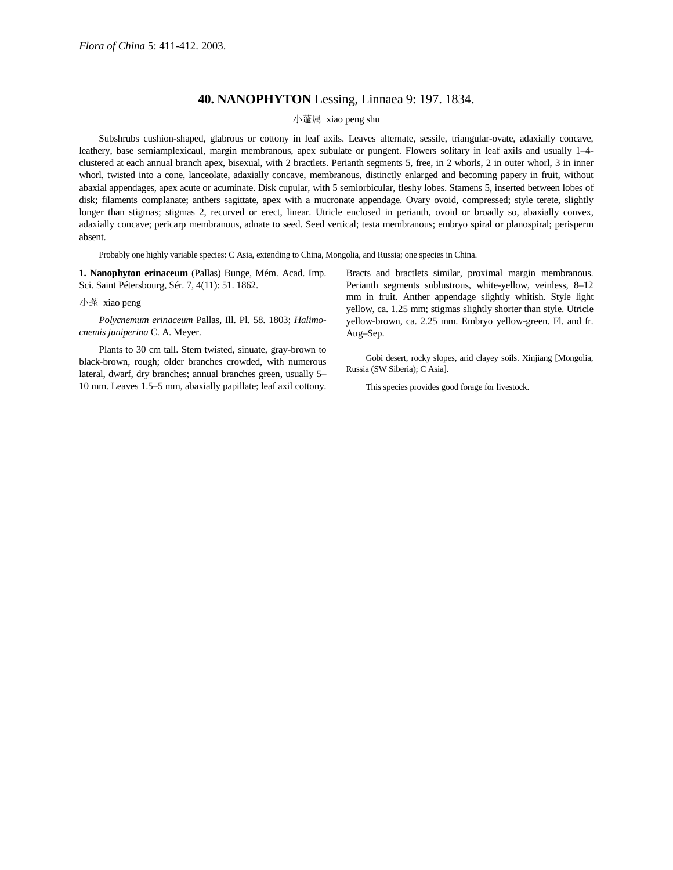## **40. NANOPHYTON** Lessing, Linnaea 9: 197. 1834.

## 小蓬属 xiao peng shu

Subshrubs cushion-shaped, glabrous or cottony in leaf axils. Leaves alternate, sessile, triangular-ovate, adaxially concave, leathery, base semiamplexicaul, margin membranous, apex subulate or pungent. Flowers solitary in leaf axils and usually 1–4 clustered at each annual branch apex, bisexual, with 2 bractlets. Perianth segments 5, free, in 2 whorls, 2 in outer whorl, 3 in inner whorl, twisted into a cone, lanceolate, adaxially concave, membranous, distinctly enlarged and becoming papery in fruit, without abaxial appendages, apex acute or acuminate. Disk cupular, with 5 semiorbicular, fleshy lobes. Stamens 5, inserted between lobes of disk; filaments complanate; anthers sagittate, apex with a mucronate appendage. Ovary ovoid, compressed; style terete, slightly longer than stigmas; stigmas 2, recurved or erect, linear. Utricle enclosed in perianth, ovoid or broadly so, abaxially convex, adaxially concave; pericarp membranous, adnate to seed. Seed vertical; testa membranous; embryo spiral or planospiral; perisperm absent.

Probably one highly variable species: C Asia, extending to China, Mongolia, and Russia; one species in China.

**1. Nanophyton erinaceum** (Pallas) Bunge, Mém. Acad. Imp. Sci. Saint Pétersbourg, Sér. 7, 4(11): 51. 1862.

## 小蓬 xiao peng

*Polycnemum erinaceum* Pallas, Ill. Pl. 58. 1803; *Halimocnemis juniperina* C. A. Meyer.

Plants to 30 cm tall. Stem twisted, sinuate, gray-brown to black-brown, rough; older branches crowded, with numerous lateral, dwarf, dry branches; annual branches green, usually 5– 10 mm. Leaves 1.5–5 mm, abaxially papillate; leaf axil cottony.

Bracts and bractlets similar, proximal margin membranous. Perianth segments sublustrous, white-yellow, veinless, 8–12 mm in fruit. Anther appendage slightly whitish. Style light yellow, ca. 1.25 mm; stigmas slightly shorter than style. Utricle yellow-brown, ca. 2.25 mm. Embryo yellow-green. Fl. and fr. Aug–Sep.

Gobi desert, rocky slopes, arid clayey soils. Xinjiang [Mongolia, Russia (SW Siberia); C Asia].

This species provides good forage for livestock.